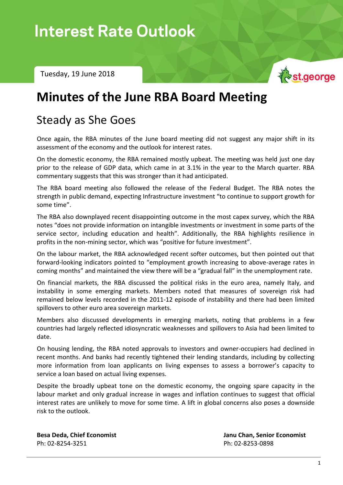In the  $N$  -  $N$  -  $\sim$   $N$  -  $\sim$   $\sim$   $\sim$ 

Tuesday, 19 June 2018



# **Minutes of the June RBA Board Meeting**

## Steady as She Goes

Once again, the RBA minutes of the June board meeting did not suggest any major shift in its assessment of the economy and the outlook for interest rates.

On the domestic economy, the RBA remained mostly upbeat. The meeting was held just one day prior to the release of GDP data, which came in at 3.1% in the year to the March quarter. RBA commentary suggests that this was stronger than it had anticipated.

The RBA board meeting also followed the release of the Federal Budget. The RBA notes the strength in public demand, expecting Infrastructure investment "to continue to support growth for some time".

The RBA also downplayed recent disappointing outcome in the most capex survey, which the RBA notes "does not provide information on intangible investments or investment in some parts of the service sector, including education and health". Additionally, the RBA highlights resilience in profits in the non-mining sector, which was "positive for future investment".

On the labour market, the RBA acknowledged recent softer outcomes, but then pointed out that forward-looking indicators pointed to "employment growth increasing to above-average rates in coming months" and maintained the view there will be a "gradual fall" in the unemployment rate.

On financial markets, the RBA discussed the political risks in the euro area, namely Italy, and instability in some emerging markets. Members noted that measures of sovereign risk had remained below levels recorded in the 2011-12 episode of instability and there had been limited spillovers to other euro area sovereign markets.

Members also discussed developments in emerging markets, noting that problems in a few countries had largely reflected idiosyncratic weaknesses and spillovers to Asia had been limited to date.

On housing lending, the RBA noted approvals to investors and owner-occupiers had declined in recent months. And banks had recently tightened their lending standards, including by collecting more information from loan applicants on living expenses to assess a borrower's capacity to service a loan based on actual living expenses.

Despite the broadly upbeat tone on the domestic economy, the ongoing spare capacity in the labour market and only gradual increase in wages and inflation continues to suggest that official interest rates are unlikely to move for some time. A lift in global concerns also poses a downside risk to the outlook.

Ph: 02-8254-3251 Ph: 02-8253-0898

**Besa Deda, Chief Economist Janu Chan, Senior Economist**